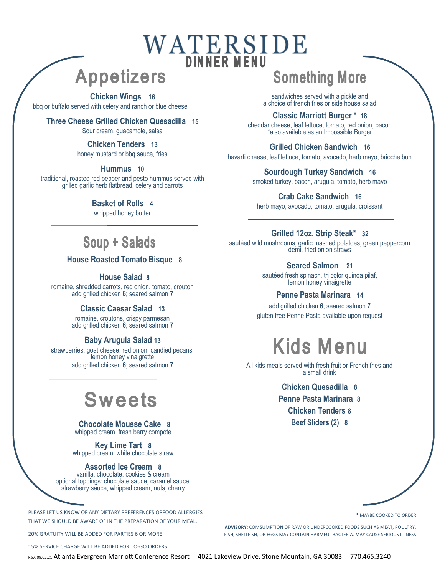# WATERSIDE

### **Appetizers**

#### **Chicken Wings 16**

bbq or buffalo served with celery and ranch or blue cheese

#### **Three Cheese Grilled Chicken Quesadilla 15**

Sour cream, guacamole, salsa

### **Chicken Tenders 13**

honey mustard or bbq sauce, fries

#### **Hummus 10**

traditional, roasted red pepper and pesto hummus served with grilled garlic herb flatbread, celery and carrots

#### **Basket of Rolls 4**

whipped honey butter

#### **House Roasted Tomato Bisque 8**

**House Salad 8**

romaine, shredded carrots, red onion, tomato, crouton add grilled chicken **6**; seared salmon **7**

#### **Classic Caesar Salad 13**

romaine, croutons, crispy parmesan add grilled chicken **6**; seared salmon **7**

#### **Baby Arugula Salad 13**

strawberries, goat cheese, red onion, candied pecans, lemon honey vinaigrette add grilled chicken **6**; seared salmon **7**

## **Sweets**

#### **Chocolate Mousse Cake 8** whipped cream, fresh berry compote

**Key Lime Tart 8** whipped cream, white chocolate straw

#### **Assorted Ice Cream 8**

vanilla, chocolate, cookies & cream optional toppings: chocolate sauce, caramel sauce, strawberry sauce, whipped cream, nuts, cherry

PLEASE LET US KNOW OF ANY DIETARY PREFERENCES ORFOOD ALLERGIES THAT WE SHOULD BE AWARE OF IN THE PREPARATION OF YOUR MEAL.

20% GRATUITY WILL BE ADDED FOR PARTIES 6 OR MORE

15% SERVICE CHARGE WILL BE ADDED FOR TO-GO ORDERS

### **Something More**

sandwiches served with a pickle and a choice of french fries or side house salad

**Classic Marriott Burger \* 18** cheddar cheese, leaf lettuce, tomato, red onion, bacon \*also available as an Impossible Burger

**Grilled Chicken Sandwich 16** havarti cheese, leaf lettuce, tomato, avocado, herb mayo, brioche bun

> **Sourdough Turkey Sandwich 16** smoked turkey, bacon, arugula, tomato, herb mayo

**Crab Cake Sandwich 16** herb mayo, avocado, tomato, arugula, croissant

#### **Grilled 12oz. Strip Steak\* 32**

sautéed wild mushrooms, garlic mashed potatoes, green peppercorn demi, fried onion straws

#### **Seared Salmon 21**

sautéed fresh spinach, tri color quinoa pilaf, lemon honey vinaigrette

#### **Penne Pasta Marinara 14**

add grilled chicken **6**; seared salmon **7** gluten free Penne Pasta available upon request

# **Kids Menu**

All kids meals served with fresh fruit or French fries and a small drink

> **Chicken Quesadilla 8 Penne Pasta Marinara 8 Chicken Tenders 8 Beef Sliders (2) 8**

> > **\*** MAYBE COOKED TO ORDER

**ADVISORY:** COMSUMPTION OF RAW OR UNDERCOOKED FOODS SUCH AS MEAT, POULTRY, FISH, SHELLFISH, OR EGGS MAY CONTAIN HARMFUL BACTERIA. MAY CAUSE SERIOUS ILLNESS

Rev. 09.02.21 Atlanta Evergreen Marriott Conference Resort 4021 Lakeview Drive, Stone Mountain, GA 30083 770.465.3240